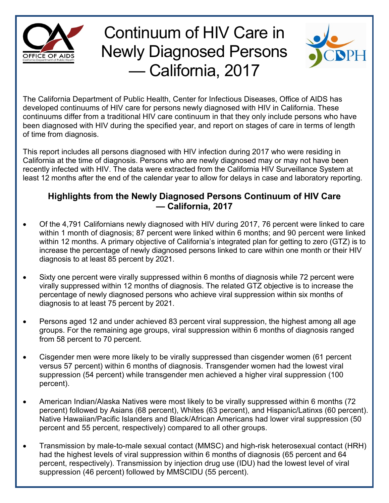

## Continuum of HIV Care in Newly Diagnosed Persons — California, 2017



The California Department of Public Health, Center for Infectious Diseases, Office of AIDS has developed continuums of HIV care for persons newly diagnosed with HIV in California. These continuums differ from a traditional HIV care continuum in that they only include persons who have been diagnosed with HIV during the specified year, and report on stages of care in terms of length of time from diagnosis.

This report includes all persons diagnosed with HIV infection during 2017 who were residing in California at the time of diagnosis. Persons who are newly diagnosed may or may not have been recently infected with HIV. The data were extracted from the California HIV Surveillance System at least 12 months after the end of the calendar year to allow for delays in case and laboratory reporting.

## **Highlights from the Newly Diagnosed Persons Continuum of HIV Care — California, 2017**

- Of the 4,791 Californians newly diagnosed with HIV during 2017, 76 percent were linked to care within 1 month of diagnosis; 87 percent were linked within 6 months; and 90 percent were linked within 12 months. A primary objective of California's integrated plan for getting to zero (GTZ) is to increase the percentage of newly diagnosed persons linked to care within one month or their HIV diagnosis to at least 85 percent by 2021.
- Sixty one percent were virally suppressed within 6 months of diagnosis while 72 percent were virally suppressed within 12 months of diagnosis. The related GTZ objective is to increase the percentage of newly diagnosed persons who achieve viral suppression within six months of diagnosis to at least 75 percent by 2021.
- Persons aged 12 and under achieved 83 percent viral suppression, the highest among all age groups. For the remaining age groups, viral suppression within 6 months of diagnosis ranged from 58 percent to 70 percent.
- Cisgender men were more likely to be virally suppressed than cisgender women (61 percent versus 57 percent) within 6 months of diagnosis. Transgender women had the lowest viral suppression (54 percent) while transgender men achieved a higher viral suppression (100 percent).
- American Indian/Alaska Natives were most likely to be virally suppressed within 6 months (72 percent) followed by Asians (68 percent), Whites (63 percent), and Hispanic/Latinxs (60 percent). Native Hawaiian/Pacific Islanders and Black/African Americans had lower viral suppression (50 percent and 55 percent, respectively) compared to all other groups.
- Transmission by male-to-male sexual contact (MMSC) and high-risk heterosexual contact (HRH) had the highest levels of viral suppression within 6 months of diagnosis (65 percent and 64 percent, respectively). Transmission by injection drug use (IDU) had the lowest level of viral suppression (46 percent) followed by MMSCIDU (55 percent).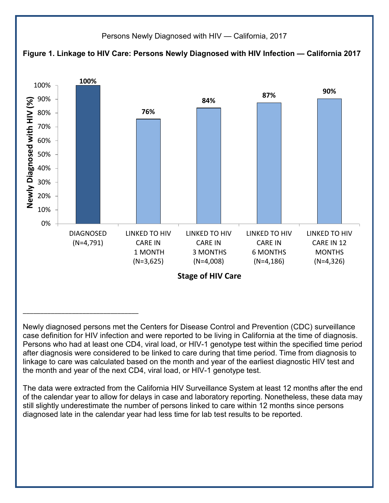

Newly diagnosed persons met the Centers for Disease Control and Prevention (CDC) surveillance case definition for HIV infection and were reported to be living in California at the time of diagnosis. Persons who had at least one CD4, viral load, or HIV-1 genotype test within the specified time period after diagnosis were considered to be linked to care during that time period. Time from diagnosis to linkage to care was calculated based on the month and year of the earliest diagnostic HIV test and the month and year of the next CD4, viral load, or HIV-1 genotype test.

The data were extracted from the California HIV Surveillance System at least 12 months after the end of the calendar year to allow for delays in case and laboratory reporting. Nonetheless, these data may still slightly underestimate the number of persons linked to care within 12 months since persons diagnosed late in the calendar year had less time for lab test results to be reported.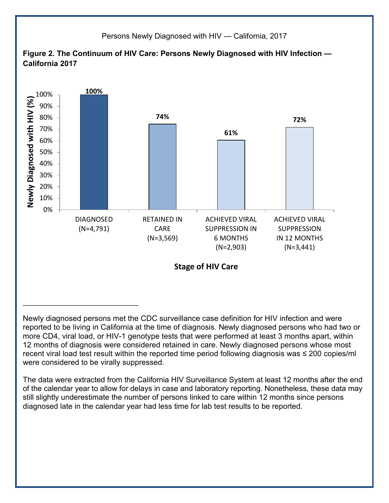

Newly diagnosed persons met the CDC surveillance case definition for HIV infection and were reported to be living in California at the time of diagnosis. Newly diagnosed persons who had two or more CD4, viral load, or HIV-1 genotype tests that were performed at least 3 months apart, within 12 months of diagnosis were considered retained in care. Newly diagnosed persons whose most recent viral load test result within the reported time period following diagnosis was ≤ 200 copies/ml were considered to be virally suppressed.

The data were extracted from the California HIV Surveillance System at least 12 months after the end of the calendar year to allow for delays in case and laboratory reporting. Nonetheless, these data may still slightly underestimate the number of persons linked to care within 12 months since persons diagnosed late in the calendar year had less time for lab test results to be reported.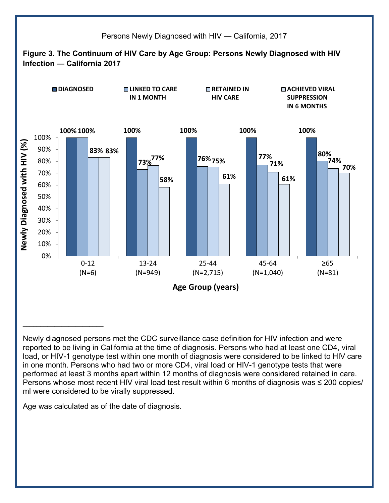

Newly diagnosed persons met the CDC surveillance case definition for HIV infection and were reported to be living in California at the time of diagnosis. Persons who had at least one CD4, viral load, or HIV-1 genotype test within one month of diagnosis were considered to be linked to HIV care in one month. Persons who had two or more CD4, viral load or HIV-1 genotype tests that were performed at least 3 months apart within 12 months of diagnosis were considered retained in care. Persons whose most recent HIV viral load test result within 6 months of diagnosis was ≤ 200 copies/ ml were considered to be virally suppressed.

Age was calculated as of the date of diagnosis.

\_\_\_\_\_\_\_\_\_\_\_\_\_\_\_\_\_\_\_\_\_\_\_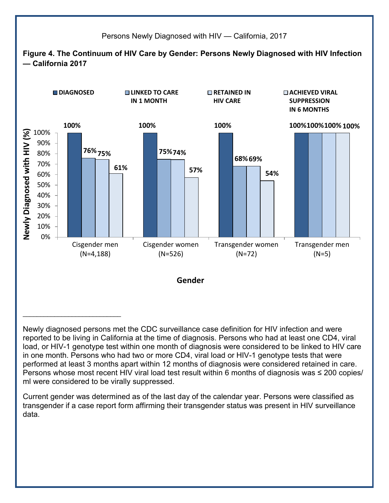

Newly diagnosed persons met the CDC surveillance case definition for HIV infection and were reported to be living in California at the time of diagnosis. Persons who had at least one CD4, viral load, or HIV-1 genotype test within one month of diagnosis were considered to be linked to HIV care in one month. Persons who had two or more CD4, viral load or HIV-1 genotype tests that were performed at least 3 months apart within 12 months of diagnosis were considered retained in care. Persons whose most recent HIV viral load test result within 6 months of diagnosis was ≤ 200 copies/ ml were considered to be virally suppressed.

Current gender was determined as of the last day of the calendar year. Persons were classified as transgender if a case report form affirming their transgender status was present in HIV surveillance data.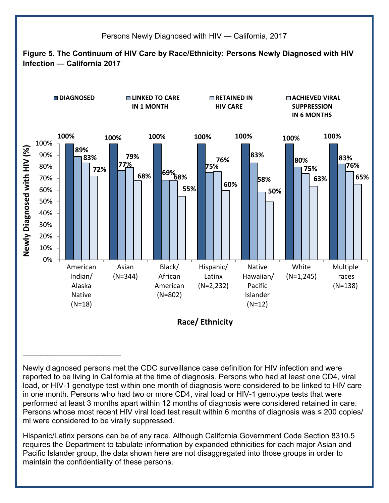

Newly diagnosed persons met the CDC surveillance case definition for HIV infection and were reported to be living in California at the time of diagnosis. Persons who had at least one CD4, viral load, or HIV-1 genotype test within one month of diagnosis were considered to be linked to HIV care in one month. Persons who had two or more CD4, viral load or HIV-1 genotype tests that were performed at least 3 months apart within 12 months of diagnosis were considered retained in care. Persons whose most recent HIV viral load test result within 6 months of diagnosis was ≤ 200 copies/ ml were considered to be virally suppressed.

\_\_\_\_\_\_\_\_\_\_\_\_\_\_\_\_\_\_\_\_\_\_\_\_\_\_\_\_

Hispanic/Latinx persons can be of any race. Although California Government Code Section 8310.5 requires the Department to tabulate information by expanded ethnicities for each major Asian and Pacific Islander group, the data shown here are not disaggregated into those groups in order to maintain the confidentiality of these persons.